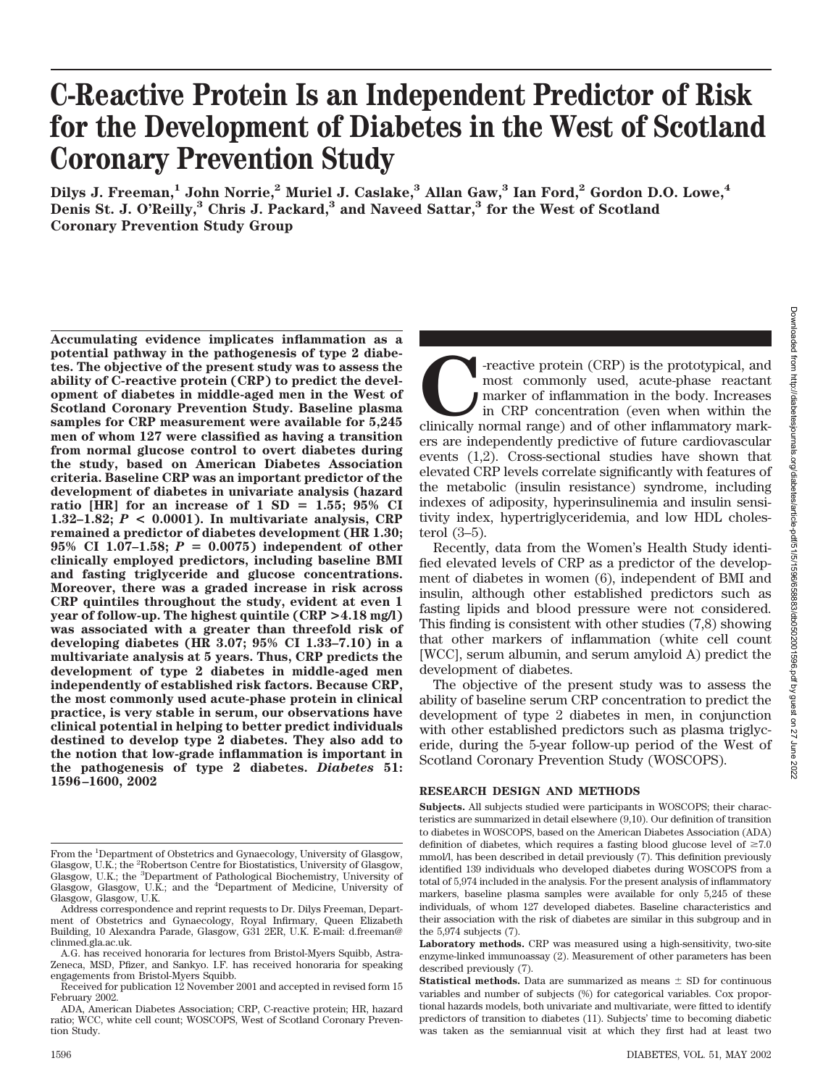# **C-Reactive Protein Is an Independent Predictor of Risk for the Development of Diabetes in the West of Scotland Coronary Prevention Study**

**Dilys J. Freeman,1 John Norrie,2 Muriel J. Caslake,3 Allan Gaw,3 Ian Ford,2 Gordon D.O. Lowe,4 Denis St. J. O'Reilly,3 Chris J. Packard,3 and Naveed Sattar,3 for the West of Scotland Coronary Prevention Study Group**

**Accumulating evidence implicates inflammation as a potential pathway in the pathogenesis of type 2 diabetes. The objective of the present study was to assess the ability of C-reactive protein (CRP) to predict the development of diabetes in middle-aged men in the West of Scotland Coronary Prevention Study. Baseline plasma samples for CRP measurement were available for 5,245 men of whom 127 were classified as having a transition from normal glucose control to overt diabetes during the study, based on American Diabetes Association criteria. Baseline CRP was an important predictor of the development of diabetes in univariate analysis (hazard** ratio [HR] for an increase of  $1$  SD  $=$  1.55; 95% CI **1.32–1.82;** *P* **< 0.0001). In multivariate analysis, CRP remained a predictor of diabetes development (HR 1.30;** 95% CI 1.07-1.58;  $P = 0.0075$  independent of other **clinically employed predictors, including baseline BMI and fasting triglyceride and glucose concentrations. Moreover, there was a graded increase in risk across CRP quintiles throughout the study, evident at even 1 year of follow-up. The highest quintile (CRP >4.18 mg/l) was associated with a greater than threefold risk of developing diabetes (HR 3.07; 95% CI 1.33–7.10) in a multivariate analysis at 5 years. Thus, CRP predicts the development of type 2 diabetes in middle-aged men independently of established risk factors. Because CRP, the most commonly used acute-phase protein in clinical practice, is very stable in serum, our observations have clinical potential in helping to better predict individuals destined to develop type 2 diabetes. They also add to the notion that low-grade inflammation is important in the pathogenesis of type 2 diabetes.** *Diabetes* **51: 1596–1600, 2002**

**COL**-reactive protein (CRP) is the prototypical, and most commonly used, acute-phase reactant marker of inflammation in the body. Increases in CRP concentration (even when within the clinically normal range) and of other most commonly used, acute-phase reactant marker of inflammation in the body. Increases in CRP concentration (even when within the ers are independently predictive of future cardiovascular events (1,2). Cross-sectional studies have shown that elevated CRP levels correlate significantly with features of the metabolic (insulin resistance) syndrome, including indexes of adiposity, hyperinsulinemia and insulin sensitivity index, hypertriglyceridemia, and low HDL cholesterol (3–5).

Recently, data from the Women's Health Study identified elevated levels of CRP as a predictor of the development of diabetes in women (6), independent of BMI and insulin, although other established predictors such as fasting lipids and blood pressure were not considered. This finding is consistent with other studies (7,8) showing that other markers of inflammation (white cell count [WCC], serum albumin, and serum amyloid A) predict the development of diabetes.

The objective of the present study was to assess the ability of baseline serum CRP concentration to predict the development of type 2 diabetes in men, in conjunction with other established predictors such as plasma triglyceride, during the 5-year follow-up period of the West of Scotland Coronary Prevention Study (WOSCOPS).

## **RESEARCH DESIGN AND METHODS**

**Subjects.** All subjects studied were participants in WOSCOPS; their characteristics are summarized in detail elsewhere (9,10). Our definition of transition to diabetes in WOSCOPS, based on the American Diabetes Association (ADA) definition of diabetes, which requires a fasting blood glucose level of  $\geq 7.0$ mmol/l, has been described in detail previously (7). This definition previously identified 139 individuals who developed diabetes during WOSCOPS from a total of 5,974 included in the analysis. For the present analysis of inflammatory markers, baseline plasma samples were available for only 5,245 of these individuals, of whom 127 developed diabetes. Baseline characteristics and their association with the risk of diabetes are similar in this subgroup and in the 5,974 subjects (7).

**Laboratory methods.** CRP was measured using a high-sensitivity, two-site enzyme-linked immunoassay (2). Measurement of other parameters has been described previously (7).

From the <sup>1</sup>Department of Obstetrics and Gynaecology, University of Glasgow, Glasgow, U.K.; the <sup>2</sup>Robertson Centre for Biostatistics, University of Glasgow, Glasgow, U.K.; the <sup>3</sup>Department of Pathological Biochemistry, University of Glasgow, Glasgow, U.K.; and the <sup>4</sup> Department of Medicine, University of Glasgow, Glasgow, U.K.

Address correspondence and reprint requests to Dr. Dilys Freeman, Department of Obstetrics and Gynaecology, Royal Infirmary, Queen Elizabeth Building, 10 Alexandra Parade, Glasgow, G31 2ER, U.K. E-mail: d.freeman@ clinmed.gla.ac.uk.

A.G. has received honoraria for lectures from Bristol-Myers Squibb, Astra-Zeneca, MSD, Pfizer, and Sankyo. I.F. has received honoraria for speaking engagements from Bristol-Myers Squibb.

Received for publication 12 November 2001 and accepted in revised form 15 February 2002.

ADA, American Diabetes Association; CRP, C-reactive protein; HR, hazard ratio; WCC, white cell count; WOSCOPS, West of Scotland Coronary Prevention Study.

**Statistical methods.** Data are summarized as means  $\pm$  SD for continuous variables and number of subjects (%) for categorical variables. Cox proportional hazards models, both univariate and multivariate, were fitted to identify predictors of transition to diabetes (11). Subjects' time to becoming diabetic was taken as the semiannual visit at which they first had at least two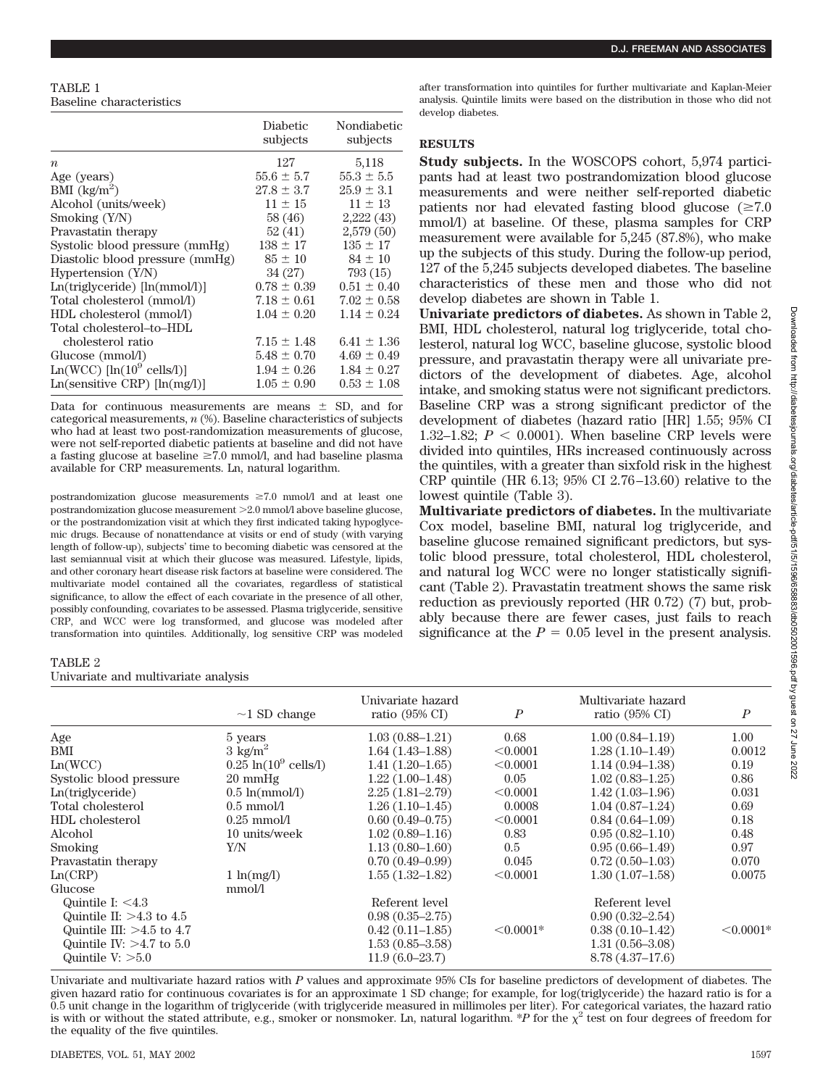## TABLE 1 Baseline characteristics

|                                      | Diabetic<br>subjects | Nondiabetic<br>subjects |
|--------------------------------------|----------------------|-------------------------|
| $\boldsymbol{n}$                     | 127                  | 5,118                   |
| Age (years)                          | $55.6 \pm 5.7$       | $55.3 \pm 5.5$          |
| BMI $\frac{\text{kg}}{\text{m}^2}$   | $27.8 \pm 3.7$       | $25.9 \pm 3.1$          |
| Alcohol (units/week)                 | $11 \pm 15$          | $11 \pm 13$             |
| Smoking $(Y/N)$                      | 58 (46)              | 2,222(43)               |
| Pravastatin therapy                  | 52 (41)              | 2,579(50)               |
| Systolic blood pressure (mmHg)       | $138 \pm 17$         | $135 \pm 17$            |
| Diastolic blood pressure (mmHg)      | $85 \pm 10$          | $84 \pm 10$             |
| Hypertension $(Y/N)$                 | 34 (27)              | 793 (15)                |
| $Ln(triglyceride)$ [ $ln(mmol/l)$ ]  | $0.78 \pm 0.39$      | $0.51 \pm 0.40$         |
| Total cholesterol (mmol/l)           | $7.18 \pm 0.61$      | $7.02 \pm 0.58$         |
| HDL cholesterol (mmol/l)             | $1.04 \pm 0.20$      | $1.14 \pm 0.24$         |
| Total cholesterol-to-HDL             |                      |                         |
| cholesterol ratio                    | $7.15 \pm 1.48$      | $6.41 \pm 1.36$         |
| Glucose (mmol/l)                     | $5.48 \pm 0.70$      | $4.69 \pm 0.49$         |
| $Ln(WCC)$ [ $ln(10^9$ cells/1)]      | $1.94 \pm 0.26$      | $1.84 \pm 0.27$         |
| $Ln(sensitive \ CRP)$ [ $ln(mg/l)$ ] | $1.05 \pm 0.90$      | $0.53 \pm 1.08$         |

Data for continuous measurements are means  $\pm$  SD, and for categorical measurements, *n* (%). Baseline characteristics of subjects who had at least two post-randomization measurements of glucose, were not self-reported diabetic patients at baseline and did not have a fasting glucose at baseline  $\geq 7.0$  mmol/l, and had baseline plasma available for CRP measurements. Ln, natural logarithm.

postrandomization glucose measurements  $\geq 7.0$  mmol/l and at least one postrandomization glucose measurement > 2.0 mmol/l above baseline glucose, or the postrandomization visit at which they first indicated taking hypoglycemic drugs. Because of nonattendance at visits or end of study (with varying length of follow-up), subjects' time to becoming diabetic was censored at the last semiannual visit at which their glucose was measured. Lifestyle, lipids, and other coronary heart disease risk factors at baseline were considered. The multivariate model contained all the covariates, regardless of statistical significance, to allow the effect of each covariate in the presence of all other, possibly confounding, covariates to be assessed. Plasma triglyceride, sensitive CRP, and WCC were log transformed, and glucose was modeled after transformation into quintiles. Additionally, log sensitive CRP was modeled after transformation into quintiles for further multivariate and Kaplan-Meier analysis. Quintile limits were based on the distribution in those who did not develop diabetes.

## **RESULTS**

**Study subjects.** In the WOSCOPS cohort, 5,974 participants had at least two postrandomization blood glucose measurements and were neither self-reported diabetic patients nor had elevated fasting blood glucose  $(\geq 7.0)$ mmol/l) at baseline. Of these, plasma samples for CRP measurement were available for 5,245 (87.8%), who make up the subjects of this study. During the follow-up period, 127 of the 5,245 subjects developed diabetes. The baseline characteristics of these men and those who did not develop diabetes are shown in Table 1.

**Univariate predictors of diabetes.** As shown in Table 2, BMI, HDL cholesterol, natural log triglyceride, total cholesterol, natural log WCC, baseline glucose, systolic blood pressure, and pravastatin therapy were all univariate predictors of the development of diabetes. Age, alcohol intake, and smoking status were not significant predictors. Baseline CRP was a strong significant predictor of the development of diabetes (hazard ratio [HR] 1.55; 95% CI 1.32–1.82;  $P < 0.0001$ ). When baseline CRP levels were divided into quintiles, HRs increased continuously across the quintiles, with a greater than sixfold risk in the highest CRP quintile (HR 6.13; 95% CI 2.76–13.60) relative to the lowest quintile (Table 3).

**Multivariate predictors of diabetes.** In the multivariate Cox model, baseline BMI, natural log triglyceride, and baseline glucose remained significant predictors, but systolic blood pressure, total cholesterol, HDL cholesterol, and natural log WCC were no longer statistically significant (Table 2). Pravastatin treatment shows the same risk reduction as previously reported (HR 0.72) (7) but, probably because there are fewer cases, just fails to reach significance at the  $P = 0.05$  level in the present analysis.

#### TABLE 2

Univariate and multivariate analysis

|                             |                                  | Univariate hazard         |                  | Multivariate hazard       |                  |
|-----------------------------|----------------------------------|---------------------------|------------------|---------------------------|------------------|
|                             | $\sim$ 1 SD change               | ratio $(95\% \text{ CI})$ | $\boldsymbol{P}$ | ratio $(95\% \text{ CI})$ | $\boldsymbol{P}$ |
| Age                         | 5 years                          | $1.03(0.88 - 1.21)$       | 0.68             | $1.00(0.84 - 1.19)$       | 1.00             |
| BMI                         | $3 \text{ kg/m}^2$               | $1.64(1.43-1.88)$         | < 0.0001         | $1.28(1.10-1.49)$         | 0.0012           |
| Ln(WCC)                     | $0.25 \ln(10^9 \text{ cells/l})$ | $1.41(1.20-1.65)$         | < 0.0001         | $1.14(0.94 - 1.38)$       | 0.19             |
| Systolic blood pressure     | $20 \text{ mmHg}$                | $1.22(1.00-1.48)$         | 0.05             | $1.02(0.83 - 1.25)$       | 0.86             |
| Ln(triglyceride)            | $0.5 \ln(\text{mmol/l})$         | $2.25(1.81 - 2.79)$       | < 0.0001         | $1.42(1.03-1.96)$         | 0.031            |
| Total cholesterol           | $0.5 \text{ mmol/l}$             | $1.26(1.10-1.45)$         | 0.0008           | $1.04(0.87-1.24)$         | 0.69             |
| HDL cholesterol             | $0.25$ mmol/l                    | $0.60(0.49-0.75)$         | < 0.0001         | $0.84(0.64-1.09)$         | 0.18             |
| Alcohol                     | 10 units/week                    | $1.02(0.89 - 1.16)$       | 0.83             | $0.95(0.82 - 1.10)$       | 0.48             |
| <b>Smoking</b>              | Y/N                              | $1.13(0.80 - 1.60)$       | 0.5              | $0.95(0.66 - 1.49)$       | 0.97             |
| Pravastatin therapy         |                                  | $0.70(0.49 - 0.99)$       | 0.045            | $0.72(0.50-1.03)$         | 0.070            |
| Ln(CRP)                     | $1 \ln(mg/l)$                    | $1.55(1.32 - 1.82)$       | < 0.0001         | $1.30(1.07-1.58)$         | 0.0075           |
| Glucose                     | mmol/l                           |                           |                  |                           |                  |
| Quintile I: $<4.3$          |                                  | Referent level            |                  | Referent level            |                  |
| Quintile II: $>4.3$ to 4.5  |                                  | $0.98(0.35 - 2.75)$       |                  | $0.90(0.32 - 2.54)$       |                  |
| Quintile III: $>4.5$ to 4.7 |                                  | $0.42(0.11-1.85)$         | $< 0.0001*$      | $0.38(0.10-1.42)$         | $< 0.0001*$      |
| Quintile IV: $>4.7$ to 5.0  |                                  | $1.53(0.85 - 3.58)$       |                  | $1.31(0.56 - 3.08)$       |                  |
| Quintile $V: >5.0$          |                                  | $11.9(6.0 - 23.7)$        |                  | $8.78(4.37-17.6)$         |                  |

Univariate and multivariate hazard ratios with *P* values and approximate 95% CIs for baseline predictors of development of diabetes. The given hazard ratio for continuous covariates is for an approximate 1 SD change; for example, for log(triglyceride) the hazard ratio is for a 0.5 unit change in the logarithm of triglyceride (with triglyceride measured in millimoles per liter). For categorical variates, the hazard ratio is with or without the stated attribute, e.g., smoker or nonsmoker. Ln, natural logarithm. \**P* for the  $\chi^2$  test on four degrees of freedom for the equality of the five quintiles.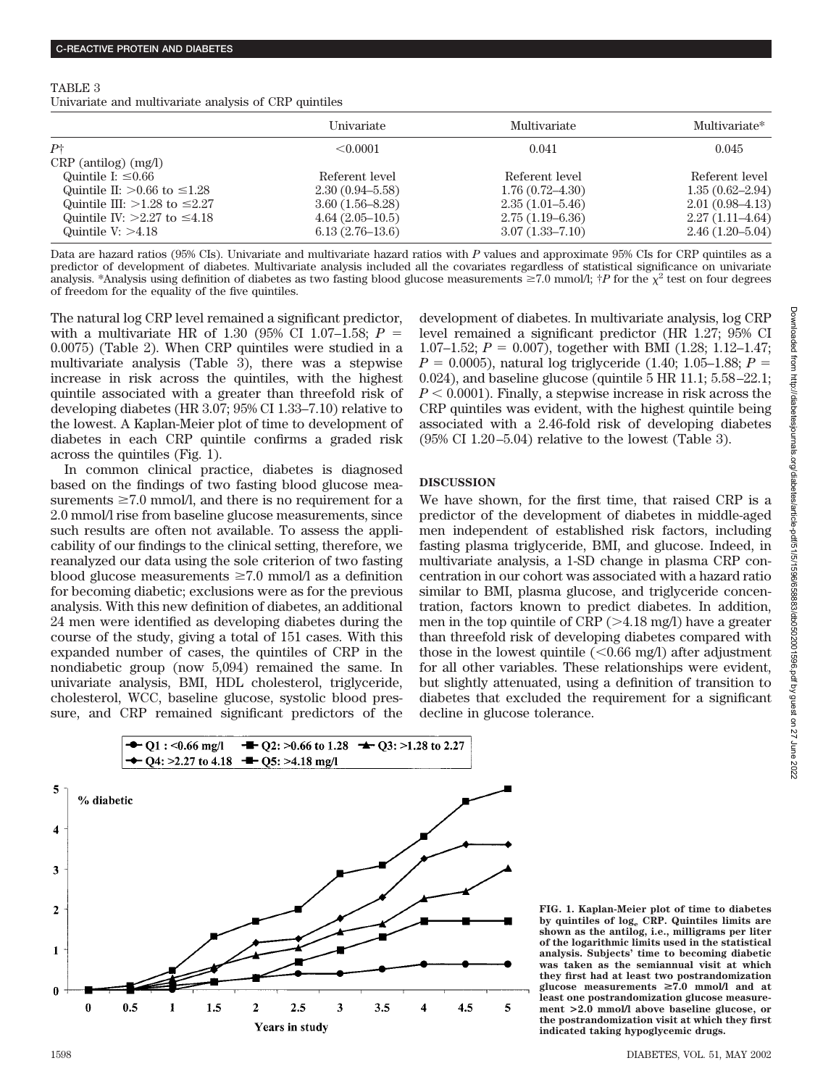| TABLE 3 |                                                       |  |  |
|---------|-------------------------------------------------------|--|--|
|         | Univariate and multivariate analysis of CRP quintiles |  |  |

|                                      | Univariate          | Multivariate        | Multivariate*       |
|--------------------------------------|---------------------|---------------------|---------------------|
| $P\dagger$                           | $\leq 0.0001$       | 0.041               | 0.045               |
| $CRP$ (antilog) (mg/l)               |                     |                     |                     |
| Quintile I: $\leq 0.66$              | Referent level      | Referent level      | Referent level      |
| Quintile II: $>0.66$ to $\leq$ 1.28  | $2.30(0.94 - 5.58)$ | $1.76(0.72 - 4.30)$ | $1.35(0.62 - 2.94)$ |
| Quintile III: $>1.28$ to $\leq 2.27$ | $3.60(1.56 - 8.28)$ | $2.35(1.01-5.46)$   | $2.01(0.98-4.13)$   |
| Quintile IV: $>2.27$ to $\leq 4.18$  | $4.64(2.05-10.5)$   | $2.75(1.19-6.36)$   | $2.27(1.11 - 4.64)$ |
| Quintile $V: >4.18$                  | $6.13(2.76-13.6)$   | $3.07(1.33 - 7.10)$ | $2.46(1.20 - 5.04)$ |

Data are hazard ratios (95% CIs). Univariate and multivariate hazard ratios with *P* values and approximate 95% CIs for CRP quintiles as a predictor of development of diabetes. Multivariate analysis included all the covariates regardless of statistical significance on univariate analysis. \*Analysis using definition of diabetes as two fasting blood glucose measurements  $\geq 7.0$  mmol/l;  $\dagger P$  for the  $\chi^2$  test on four degrees of freedom for the equality of the five quintiles.

The natural log CRP level remained a significant predictor, with a multivariate HR of 1.30 (95% CI 1.07–1.58; *P* 0.0075) (Table 2). When CRP quintiles were studied in a multivariate analysis (Table 3), there was a stepwise increase in risk across the quintiles, with the highest quintile associated with a greater than threefold risk of developing diabetes (HR 3.07; 95% CI 1.33–7.10) relative to the lowest. A Kaplan-Meier plot of time to development of diabetes in each CRP quintile confirms a graded risk across the quintiles (Fig. 1).

In common clinical practice, diabetes is diagnosed based on the findings of two fasting blood glucose measurements  $\geq 7.0$  mmol/l, and there is no requirement for a 2.0 mmol/l rise from baseline glucose measurements, since such results are often not available. To assess the applicability of our findings to the clinical setting, therefore, we reanalyzed our data using the sole criterion of two fasting blood glucose measurements  $\geq 7.0$  mmol/l as a definition for becoming diabetic; exclusions were as for the previous analysis. With this new definition of diabetes, an additional 24 men were identified as developing diabetes during the course of the study, giving a total of 151 cases. With this expanded number of cases, the quintiles of CRP in the nondiabetic group (now 5,094) remained the same. In univariate analysis, BMI, HDL cholesterol, triglyceride, cholesterol, WCC, baseline glucose, systolic blood pressure, and CRP remained significant predictors of the development of diabetes. In multivariate analysis, log CRP level remained a significant predictor (HR 1.27; 95% CI 1.07–1.52;  $P = 0.007$ , together with BMI (1.28; 1.12–1.47;  $P = 0.0005$ , natural log triglyceride (1.40; 1.05–1.88;  $P =$ 0.024), and baseline glucose (quintile 5 HR 11.1; 5.58–22.1;  $P < 0.0001$ ). Finally, a stepwise increase in risk across the CRP quintiles was evident, with the highest quintile being associated with a 2.46-fold risk of developing diabetes (95% CI 1.20–5.04) relative to the lowest (Table 3).

# **DISCUSSION**

We have shown, for the first time, that raised CRP is a predictor of the development of diabetes in middle-aged men independent of established risk factors, including fasting plasma triglyceride, BMI, and glucose. Indeed, in multivariate analysis, a 1-SD change in plasma CRP concentration in our cohort was associated with a hazard ratio similar to BMI, plasma glucose, and triglyceride concentration, factors known to predict diabetes. In addition, men in the top quintile of  $CRP (> 4.18$  mg/l) have a greater than threefold risk of developing diabetes compared with those in the lowest quintile  $(< 0.66$  mg/l) after adjustment for all other variables. These relationships were evident, but slightly attenuated, using a definition of transition to diabetes that excluded the requirement for a significant decline in glucose tolerance.



**FIG. 1. Kaplan-Meier plot of time to diabetes by quintiles of loge CRP. Quintiles limits are shown as the antilog, i.e., milligrams per liter of the logarithmic limits used in the statistical analysis. Subjects' time to becoming diabetic was taken as the semiannual visit at which they first had at least two postrandomization** glucose measurements  $\geq 7.0$  mmol/l and at **least one postrandomization glucose measurement >2.0 mmol/l above baseline glucose, or the postrandomization visit at which they first indicated taking hypoglycemic drugs.**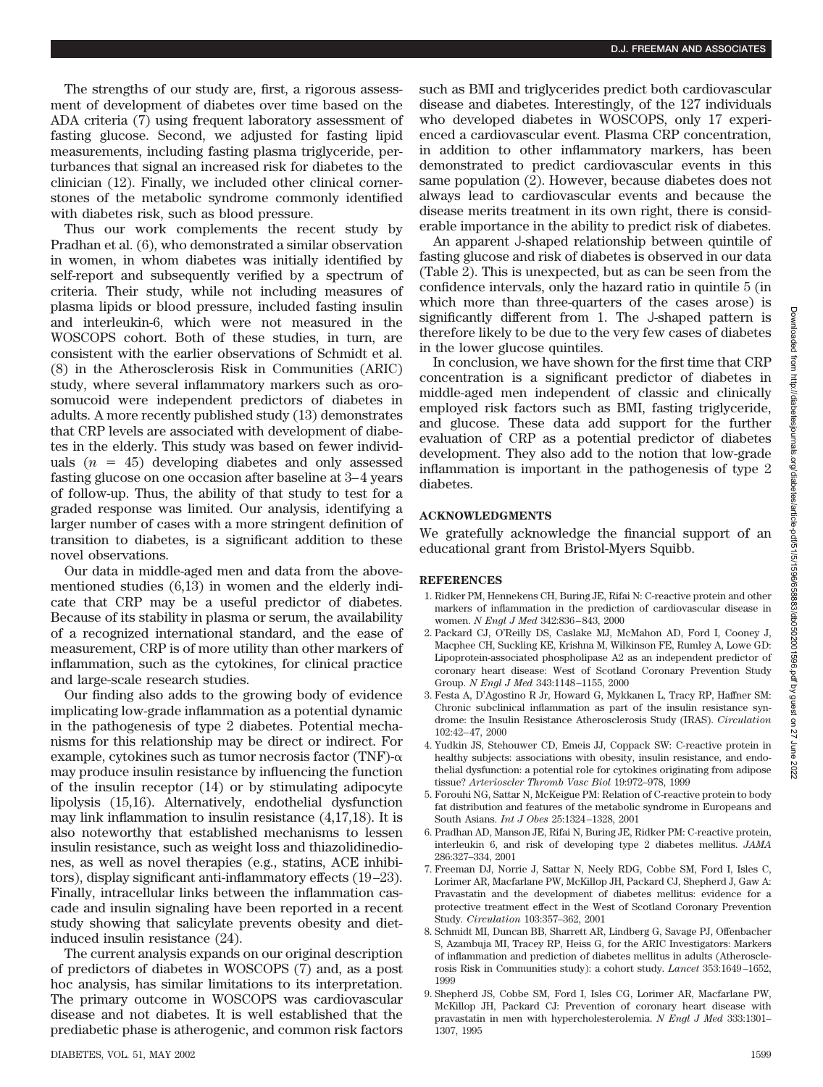The strengths of our study are, first, a rigorous assessment of development of diabetes over time based on the ADA criteria (7) using frequent laboratory assessment of fasting glucose. Second, we adjusted for fasting lipid measurements, including fasting plasma triglyceride, perturbances that signal an increased risk for diabetes to the clinician (12). Finally, we included other clinical cornerstones of the metabolic syndrome commonly identified with diabetes risk, such as blood pressure.

Thus our work complements the recent study by Pradhan et al. (6), who demonstrated a similar observation in women, in whom diabetes was initially identified by self-report and subsequently verified by a spectrum of criteria. Their study, while not including measures of plasma lipids or blood pressure, included fasting insulin and interleukin-6, which were not measured in the WOSCOPS cohort. Both of these studies, in turn, are consistent with the earlier observations of Schmidt et al. (8) in the Atherosclerosis Risk in Communities (ARIC) study, where several inflammatory markers such as orosomucoid were independent predictors of diabetes in adults. A more recently published study (13) demonstrates that CRP levels are associated with development of diabetes in the elderly. This study was based on fewer individuals  $(n = 45)$  developing diabetes and only assessed fasting glucose on one occasion after baseline at 3–4 years of follow-up. Thus, the ability of that study to test for a graded response was limited. Our analysis, identifying a larger number of cases with a more stringent definition of transition to diabetes, is a significant addition to these novel observations.

Our data in middle-aged men and data from the abovementioned studies (6,13) in women and the elderly indicate that CRP may be a useful predictor of diabetes. Because of its stability in plasma or serum, the availability of a recognized international standard, and the ease of measurement, CRP is of more utility than other markers of inflammation, such as the cytokines, for clinical practice and large-scale research studies.

Our finding also adds to the growing body of evidence implicating low-grade inflammation as a potential dynamic in the pathogenesis of type 2 diabetes. Potential mechanisms for this relationship may be direct or indirect. For example, cytokines such as tumor necrosis factor (TNF)- $\alpha$ may produce insulin resistance by influencing the function of the insulin receptor (14) or by stimulating adipocyte lipolysis (15,16). Alternatively, endothelial dysfunction may link inflammation to insulin resistance (4,17,18). It is also noteworthy that established mechanisms to lessen insulin resistance, such as weight loss and thiazolidinediones, as well as novel therapies (e.g., statins, ACE inhibitors), display significant anti-inflammatory effects (19–23). Finally, intracellular links between the inflammation cascade and insulin signaling have been reported in a recent study showing that salicylate prevents obesity and dietinduced insulin resistance (24).

The current analysis expands on our original description of predictors of diabetes in WOSCOPS (7) and, as a post hoc analysis, has similar limitations to its interpretation. The primary outcome in WOSCOPS was cardiovascular disease and not diabetes. It is well established that the prediabetic phase is atherogenic, and common risk factors such as BMI and triglycerides predict both cardiovascular disease and diabetes. Interestingly, of the 127 individuals who developed diabetes in WOSCOPS, only 17 experienced a cardiovascular event. Plasma CRP concentration, in addition to other inflammatory markers, has been demonstrated to predict cardiovascular events in this same population (2). However, because diabetes does not always lead to cardiovascular events and because the disease merits treatment in its own right, there is considerable importance in the ability to predict risk of diabetes.

An apparent J-shaped relationship between quintile of fasting glucose and risk of diabetes is observed in our data (Table 2). This is unexpected, but as can be seen from the confidence intervals, only the hazard ratio in quintile 5 (in which more than three-quarters of the cases arose) is significantly different from 1. The J-shaped pattern is therefore likely to be due to the very few cases of diabetes in the lower glucose quintiles.

In conclusion, we have shown for the first time that CRP concentration is a significant predictor of diabetes in middle-aged men independent of classic and clinically employed risk factors such as BMI, fasting triglyceride, and glucose. These data add support for the further evaluation of CRP as a potential predictor of diabetes development. They also add to the notion that low-grade inflammation is important in the pathogenesis of type 2 diabetes.

# **ACKNOWLEDGMENTS**

We gratefully acknowledge the financial support of an educational grant from Bristol-Myers Squibb.

#### **REFERENCES**

- 1. Ridker PM, Hennekens CH, Buring JE, Rifai N: C-reactive protein and other markers of inflammation in the prediction of cardiovascular disease in women. *N Engl J Med* 342:836–843, 2000
- 2. Packard CJ, O'Reilly DS, Caslake MJ, McMahon AD, Ford I, Cooney J, Macphee CH, Suckling KE, Krishna M, Wilkinson FE, Rumley A, Lowe GD: Lipoprotein-associated phospholipase A2 as an independent predictor of coronary heart disease: West of Scotland Coronary Prevention Study Group. *N Engl J Med* 343:1148–1155, 2000
- 3. Festa A, D'Agostino R Jr, Howard G, Mykkanen L, Tracy RP, Haffner SM: Chronic subclinical inflammation as part of the insulin resistance syndrome: the Insulin Resistance Atherosclerosis Study (IRAS). *Circulation* 102:42–47, 2000
- 4. Yudkin JS, Stehouwer CD, Emeis JJ, Coppack SW: C-reactive protein in healthy subjects: associations with obesity, insulin resistance, and endothelial dysfunction: a potential role for cytokines originating from adipose tissue? *Arterioscler Thromb Vasc Biol* 19:972–978, 1999
- 5. Forouhi NG, Sattar N, McKeigue PM: Relation of C-reactive protein to body fat distribution and features of the metabolic syndrome in Europeans and South Asians. *Int J Obes* 25:1324–1328, 2001
- 6. Pradhan AD, Manson JE, Rifai N, Buring JE, Ridker PM: C-reactive protein, interleukin 6, and risk of developing type 2 diabetes mellitus. *JAMA* 286:327–334, 2001
- 7. Freeman DJ, Norrie J, Sattar N, Neely RDG, Cobbe SM, Ford I, Isles C, Lorimer AR, Macfarlane PW, McKillop JH, Packard CJ, Shepherd J, Gaw A: Pravastatin and the development of diabetes mellitus: evidence for a protective treatment effect in the West of Scotland Coronary Prevention Study. *Circulation* 103:357–362, 2001
- 8. Schmidt MI, Duncan BB, Sharrett AR, Lindberg G, Savage PJ, Offenbacher S, Azambuja MI, Tracey RP, Heiss G, for the ARIC Investigators: Markers of inflammation and prediction of diabetes mellitus in adults (Atherosclerosis Risk in Communities study): a cohort study. *Lancet* 353:1649–1652, 1999
- 9. Shepherd JS, Cobbe SM, Ford I, Isles CG, Lorimer AR, Macfarlane PW, McKillop JH, Packard CJ: Prevention of coronary heart disease with pravastatin in men with hypercholesterolemia. *N Engl J Med* 333:1301– 1307, 1995